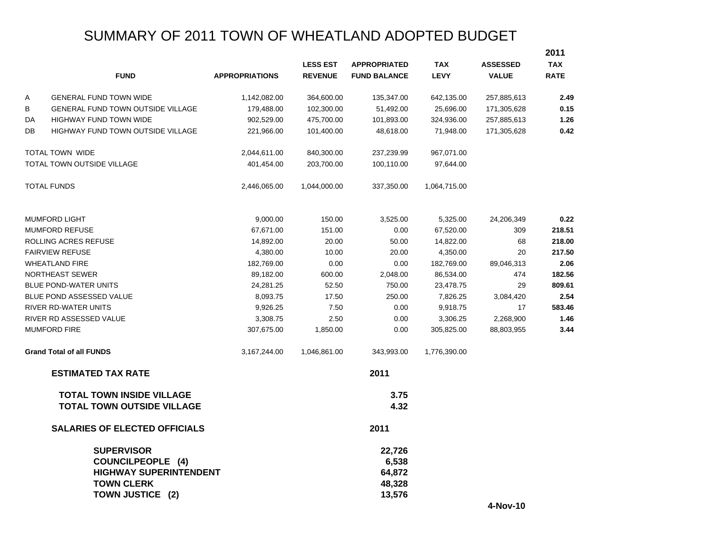# SUMMARY OF 2011 TOWN OF WHEATLAND ADOPTED BUDGET

|    |                                                                                                                         |                       |                 |                                               |              |                 | 2011        |
|----|-------------------------------------------------------------------------------------------------------------------------|-----------------------|-----------------|-----------------------------------------------|--------------|-----------------|-------------|
|    |                                                                                                                         |                       | <b>LESS EST</b> | <b>APPROPRIATED</b>                           | <b>TAX</b>   | <b>ASSESSED</b> | <b>TAX</b>  |
|    | <b>FUND</b>                                                                                                             | <b>APPROPRIATIONS</b> | <b>REVENUE</b>  | <b>FUND BALANCE</b>                           | <b>LEVY</b>  | <b>VALUE</b>    | <b>RATE</b> |
| Α  | <b>GENERAL FUND TOWN WIDE</b>                                                                                           | 1,142,082.00          | 364,600.00      | 135,347.00                                    | 642,135.00   | 257,885,613     | 2.49        |
| В  | <b>GENERAL FUND TOWN OUTSIDE VILLAGE</b>                                                                                | 179,488.00            | 102,300.00      | 51,492.00                                     | 25,696.00    | 171,305,628     | 0.15        |
| DA | <b>HIGHWAY FUND TOWN WIDE</b>                                                                                           | 902,529.00            | 475,700.00      | 101,893.00                                    | 324,936.00   | 257,885,613     | 1.26        |
| DB | HIGHWAY FUND TOWN OUTSIDE VILLAGE                                                                                       | 221,966.00            | 101,400.00      | 48,618.00                                     | 71,948.00    | 171,305,628     | 0.42        |
|    | TOTAL TOWN WIDE                                                                                                         | 2,044,611.00          | 840,300.00      | 237,239.99                                    | 967,071.00   |                 |             |
|    | <b>TOTAL TOWN OUTSIDE VILLAGE</b>                                                                                       | 401,454.00            | 203,700.00      | 100,110.00                                    | 97,644.00    |                 |             |
|    | <b>TOTAL FUNDS</b>                                                                                                      | 2,446,065.00          | 1,044,000.00    | 337,350.00                                    | 1,064,715.00 |                 |             |
|    | <b>MUMFORD LIGHT</b>                                                                                                    | 9,000.00              | 150.00          | 3,525.00                                      | 5,325.00     | 24,206,349      | 0.22        |
|    | <b>MUMFORD REFUSE</b>                                                                                                   | 67,671.00             | 151.00          | 0.00                                          | 67,520.00    | 309             | 218.51      |
|    | ROLLING ACRES REFUSE                                                                                                    | 14,892.00             | 20.00           | 50.00                                         | 14,822.00    | 68              | 218.00      |
|    | <b>FAIRVIEW REFUSE</b>                                                                                                  | 4,380.00              | 10.00           | 20.00                                         | 4,350.00     | 20              | 217.50      |
|    | <b>WHEATLAND FIRE</b>                                                                                                   | 182,769.00            | 0.00            | 0.00                                          | 182,769.00   | 89,046,313      | 2.06        |
|    | NORTHEAST SEWER                                                                                                         | 89,182.00             | 600.00          | 2,048.00                                      | 86,534.00    | 474             | 182.56      |
|    | <b>BLUE POND-WATER UNITS</b>                                                                                            | 24,281.25             | 52.50           | 750.00                                        | 23,478.75    | 29              | 809.61      |
|    | BLUE POND ASSESSED VALUE                                                                                                | 8,093.75              | 17.50           | 250.00                                        | 7,826.25     | 3,084,420       | 2.54        |
|    | <b>RIVER RD-WATER UNITS</b>                                                                                             | 9,926.25              | 7.50            | 0.00                                          | 9,918.75     | 17              | 583.46      |
|    | RIVER RD ASSESSED VALUE                                                                                                 | 3,308.75              | 2.50            | 0.00                                          | 3,306.25     | 2,268,900       | 1.46        |
|    | <b>MUMFORD FIRE</b>                                                                                                     | 307,675.00            | 1,850.00        | 0.00                                          | 305,825.00   | 88,803,955      | 3.44        |
|    | <b>Grand Total of all FUNDS</b>                                                                                         | 3,167,244.00          | 1,046,861.00    | 343,993.00                                    | 1,776,390.00 |                 |             |
|    | <b>ESTIMATED TAX RATE</b>                                                                                               |                       |                 | 2011                                          |              |                 |             |
|    | <b>TOTAL TOWN INSIDE VILLAGE</b><br><b>TOTAL TOWN OUTSIDE VILLAGE</b>                                                   |                       |                 | 3.75<br>4.32                                  |              |                 |             |
|    | <b>SALARIES OF ELECTED OFFICIALS</b>                                                                                    |                       |                 | 2011                                          |              |                 |             |
|    | <b>SUPERVISOR</b><br><b>COUNCILPEOPLE (4)</b><br><b>HIGHWAY SUPERINTENDENT</b><br><b>TOWN CLERK</b><br>TOWN JUSTICE (2) |                       |                 | 22,726<br>6,538<br>64,872<br>48,328<br>13,576 |              |                 |             |

**4-Nov-10**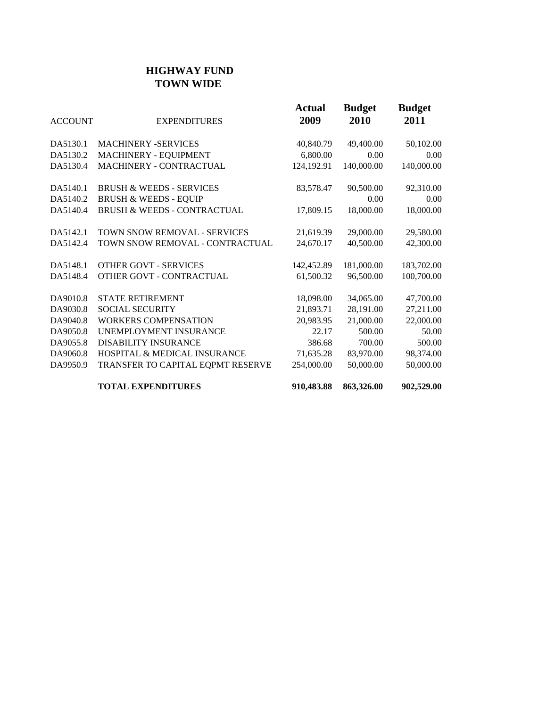## **HIGHWAY FUND TOWN WIDE**

| <b>ACCOUNT</b> | <b>EXPENDITURES</b>                     | <b>Actual</b><br>2009 | <b>Budget</b><br>2010 | <b>Budget</b><br>2011 |
|----------------|-----------------------------------------|-----------------------|-----------------------|-----------------------|
| DA5130.1       | <b>MACHINERY -SERVICES</b>              | 40,840.79             | 49,400.00             | 50,102.00             |
| DA5130.2       | MACHINERY - EQUIPMENT                   | 6,800.00              | 0.00                  | 0.00                  |
| DA5130.4       | MACHINERY - CONTRACTUAL                 | 124,192.91            | 140,000.00            | 140,000.00            |
| DA5140.1       | <b>BRUSH &amp; WEEDS - SERVICES</b>     | 83,578.47             | 90,500.00             | 92,310.00             |
| DA5140.2       | <b>BRUSH &amp; WEEDS - EQUIP</b>        |                       | 0.00                  | 0.00                  |
| DA5140.4       | <b>BRUSH &amp; WEEDS - CONTRACTUAL</b>  | 17,809.15             | 18,000.00             | 18,000.00             |
| DA5142.1       | TOWN SNOW REMOVAL - SERVICES            | 21,619.39             | 29,000.00             | 29,580.00             |
| DA5142.4       | TOWN SNOW REMOVAL - CONTRACTUAL         | 24,670.17             | 40,500.00             | 42,300.00             |
| DA5148.1       | <b>OTHER GOVT - SERVICES</b>            | 142,452.89            | 181,000.00            | 183,702.00            |
| DA5148.4       | OTHER GOVT - CONTRACTUAL                | 61,500.32             | 96,500.00             | 100,700.00            |
| DA9010.8       | <b>STATE RETIREMENT</b>                 | 18,098.00             | 34,065.00             | 47,700.00             |
| DA9030.8       | <b>SOCIAL SECURITY</b>                  | 21,893.71             | 28,191.00             | 27,211.00             |
| DA9040.8       | <b>WORKERS COMPENSATION</b>             | 20,983.95             | 21,000.00             | 22,000.00             |
| DA9050.8       | UNEMPLOYMENT INSURANCE                  | 22.17                 | 500.00                | 50.00                 |
| DA9055.8       | <b>DISABILITY INSURANCE</b>             | 386.68                | 700.00                | 500.00                |
| DA9060.8       | <b>HOSPITAL &amp; MEDICAL INSURANCE</b> | 71,635.28             | 83,970.00             | 98,374.00             |
| DA9950.9       | TRANSFER TO CAPITAL EQPMT RESERVE       | 254,000.00            | 50,000.00             | 50,000.00             |
|                | <b>TOTAL EXPENDITURES</b>               | 910,483.88            | 863,326.00            | 902,529.00            |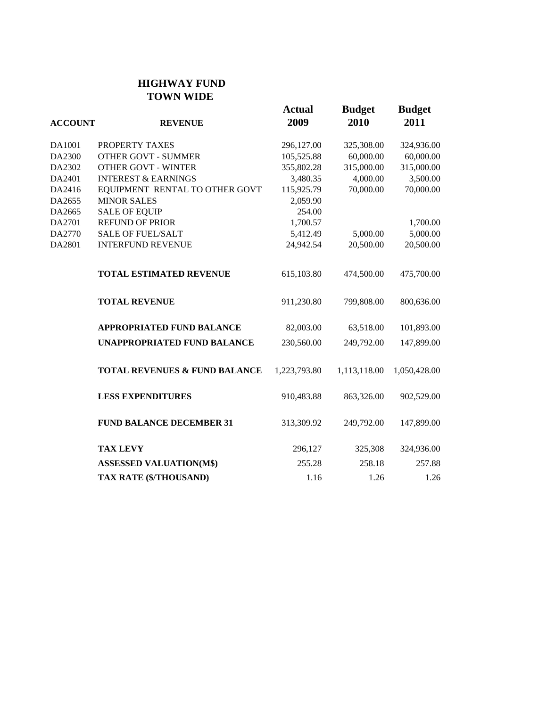#### **HIGHWAY FUND TOWN WIDE**

| <b>ACCOUNT</b> | <b>REVENUE</b>                           | <b>Actual</b><br>2009 | <b>Budget</b><br>2010 | <b>Budget</b><br>2011 |
|----------------|------------------------------------------|-----------------------|-----------------------|-----------------------|
| DA1001         | PROPERTY TAXES                           | 296,127.00            | 325,308.00            | 324,936.00            |
| DA2300         | <b>OTHER GOVT - SUMMER</b>               | 105,525.88            | 60,000.00             | 60,000.00             |
| DA2302         | <b>OTHER GOVT - WINTER</b>               | 355,802.28            | 315,000.00            | 315,000.00            |
| DA2401         | <b>INTEREST &amp; EARNINGS</b>           | 3,480.35              | 4,000.00              | 3,500.00              |
| DA2416         | EQUIPMENT RENTAL TO OTHER GOVT           | 115,925.79            | 70,000.00             | 70,000.00             |
| DA2655         | <b>MINOR SALES</b>                       | 2,059.90              |                       |                       |
| DA2665         | <b>SALE OF EQUIP</b>                     | 254.00                |                       |                       |
| DA2701         | <b>REFUND OF PRIOR</b>                   | 1,700.57              |                       | 1,700.00              |
| DA2770         | <b>SALE OF FUEL/SALT</b>                 | 5,412.49              | 5,000.00              | 5,000.00              |
| DA2801         | <b>INTERFUND REVENUE</b>                 | 24,942.54             | 20,500.00             | 20,500.00             |
|                | <b>TOTAL ESTIMATED REVENUE</b>           | 615,103.80            | 474,500.00            | 475,700.00            |
|                | <b>TOTAL REVENUE</b>                     | 911,230.80            | 799,808.00            | 800,636.00            |
|                | <b>APPROPRIATED FUND BALANCE</b>         | 82,003.00             | 63,518.00             | 101,893.00            |
|                | <b>UNAPPROPRIATED FUND BALANCE</b>       | 230,560.00            | 249,792.00            | 147,899.00            |
|                | <b>TOTAL REVENUES &amp; FUND BALANCE</b> | 1,223,793.80          | 1,113,118.00          | 1,050,428.00          |
|                | <b>LESS EXPENDITURES</b>                 | 910,483.88            | 863,326.00            | 902,529.00            |
|                | <b>FUND BALANCE DECEMBER 31</b>          | 313,309.92            | 249,792.00            | 147,899.00            |
|                | <b>TAX LEVY</b>                          | 296,127               | 325,308               | 324,936.00            |
|                | <b>ASSESSED VALUATION(M\$)</b>           | 255.28                | 258.18                | 257.88                |
|                | TAX RATE (\$/THOUSAND)                   | 1.16                  | 1.26                  | 1.26                  |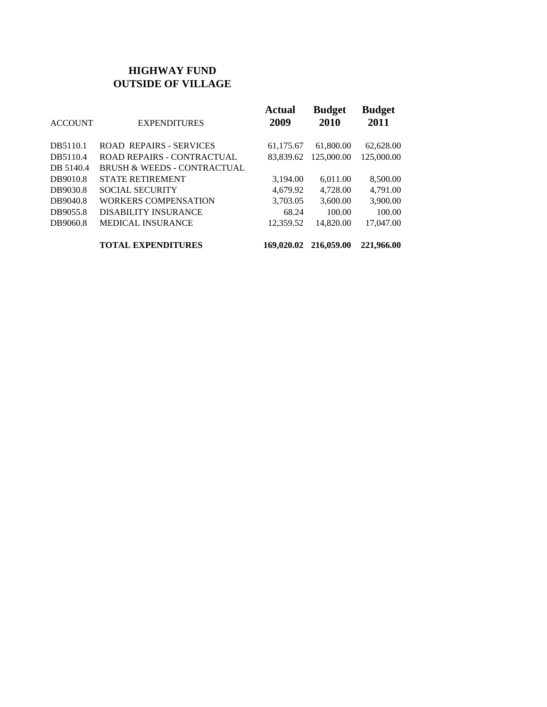## **HIGHWAY FUND OUTSIDE OF VILLAGE**

| <b>ACCOUNT</b> | <b>EXPENDITURES</b>                    | <b>Actual</b><br>2009 | <b>Budget</b><br>2010 | <b>Budget</b><br>2011 |
|----------------|----------------------------------------|-----------------------|-----------------------|-----------------------|
| DB5110.1       | <b>ROAD REPAIRS - SERVICES</b>         | 61,175.67             | 61,800.00             | 62,628.00             |
| DB5110.4       | <b>ROAD REPAIRS - CONTRACTUAL</b>      | 83.839.62             | 125,000.00            | 125,000.00            |
| DB 5140.4      | <b>BRUSH &amp; WEEDS - CONTRACTUAL</b> |                       |                       |                       |
| DB9010.8       | <b>STATE RETIREMENT</b>                | 3,194.00              | 6,011.00              | 8,500.00              |
| DB9030.8       | <b>SOCIAL SECURITY</b>                 | 4.679.92              | 4,728.00              | 4,791.00              |
| DB9040.8       | <b>WORKERS COMPENSATION</b>            | 3,703.05              | 3,600.00              | 3,900.00              |
| DB9055.8       | <b>DISABILITY INSURANCE</b>            | 68.24                 | 100.00                | 100.00                |
| DB9060.8       | <b>MEDICAL INSURANCE</b>               | 12,359.52             | 14,820.00             | 17,047.00             |
|                | <b>TOTAL EXPENDITURES</b>              | 169,020.02            | 216,059.00            | 221,966.00            |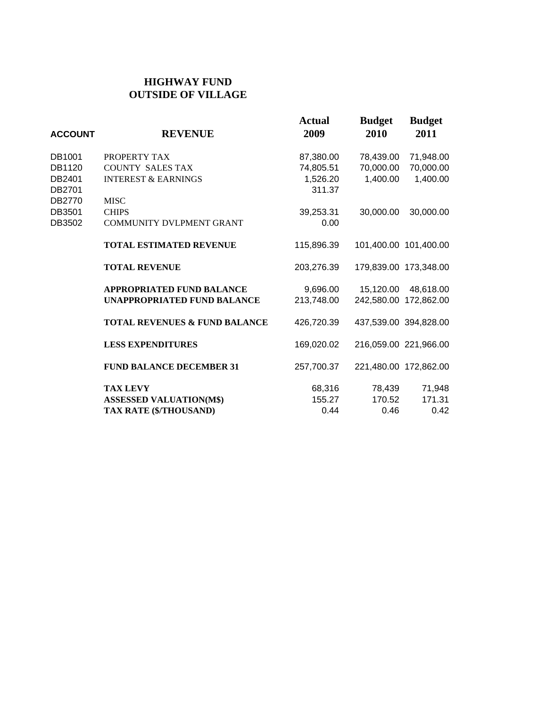### **HIGHWAY FUND OUTSIDE OF VILLAGE**

| <b>ACCOUNT</b>   | <b>REVENUE</b>                           | Actual<br>2009     | <b>Budget</b><br>2010 | <b>Budget</b><br>2011 |
|------------------|------------------------------------------|--------------------|-----------------------|-----------------------|
| DB1001           | PROPERTY TAX                             | 87,380.00          | 78,439.00             | 71,948.00             |
| DB1120           | <b>COUNTY SALES TAX</b>                  | 74,805.51          | 70,000.00             | 70,000.00             |
| DB2401<br>DB2701 | <b>INTEREST &amp; EARNINGS</b>           | 1,526.20<br>311.37 | 1,400.00              | 1,400.00              |
| DB2770           | <b>MISC</b>                              |                    |                       |                       |
| DB3501           | <b>CHIPS</b>                             | 39,253.31          | 30,000.00             | 30,000.00             |
| DB3502           | <b>COMMUNITY DVLPMENT GRANT</b>          | 0.00               |                       |                       |
|                  | <b>TOTAL ESTIMATED REVENUE</b>           | 115,896.39         |                       | 101,400.00 101,400.00 |
|                  | <b>TOTAL REVENUE</b>                     | 203,276.39         |                       | 179,839.00 173,348.00 |
|                  | <b>APPROPRIATED FUND BALANCE</b>         | 9,696.00           | 15,120.00             | 48,618.00             |
|                  | <b>UNAPPROPRIATED FUND BALANCE</b>       | 213,748.00         |                       | 242,580.00 172,862.00 |
|                  | <b>TOTAL REVENUES &amp; FUND BALANCE</b> | 426,720.39         | 437,539.00 394,828.00 |                       |
|                  | <b>LESS EXPENDITURES</b>                 | 169,020.02         | 216,059.00 221,966.00 |                       |
|                  | <b>FUND BALANCE DECEMBER 31</b>          | 257,700.37         |                       | 221,480.00 172,862.00 |
|                  | <b>TAX LEVY</b>                          | 68,316             | 78,439                | 71,948                |
|                  | <b>ASSESSED VALUATION(M\$)</b>           | 155.27             | 170.52                | 171.31                |
|                  | TAX RATE (\$/THOUSAND)                   | 0.44               | 0.46                  | 0.42                  |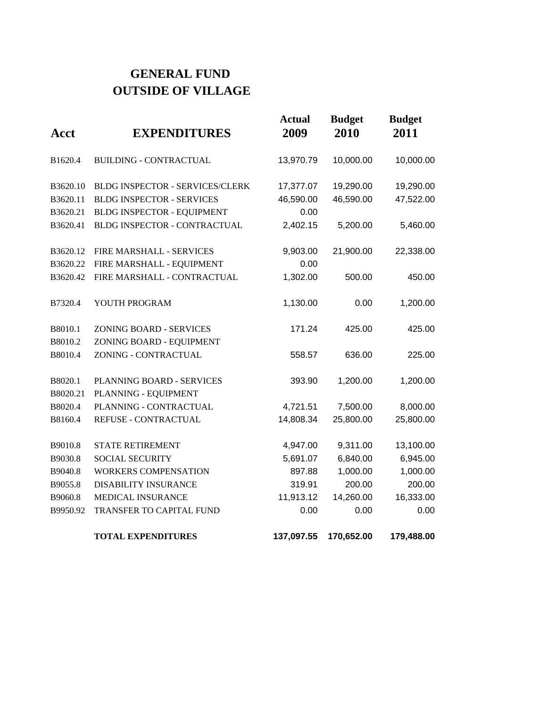# **GENERAL FUND OUTSIDE OF VILLAGE**

| Acct     | <b>EXPENDITURES</b>               | <b>Actual</b><br>2009 | <b>Budget</b><br>2010 | <b>Budget</b><br>2011 |
|----------|-----------------------------------|-----------------------|-----------------------|-----------------------|
| B1620.4  | <b>BUILDING - CONTRACTUAL</b>     | 13,970.79             | 10,000.00             | 10,000.00             |
| B3620.10 | BLDG INSPECTOR - SERVICES/CLERK   | 17,377.07             | 19,290.00             | 19,290.00             |
| B3620.11 | <b>BLDG INSPECTOR - SERVICES</b>  | 46,590.00             | 46,590.00             | 47,522.00             |
| B3620.21 | <b>BLDG INSPECTOR - EQUIPMENT</b> | 0.00                  |                       |                       |
| B3620.41 | BLDG INSPECTOR - CONTRACTUAL      | 2,402.15              | 5,200.00              | 5,460.00              |
| B3620.12 | FIRE MARSHALL - SERVICES          | 9,903.00              | 21,900.00             | 22,338.00             |
| B3620.22 | FIRE MARSHALL - EQUIPMENT         | 0.00                  |                       |                       |
| B3620.42 | FIRE MARSHALL - CONTRACTUAL       | 1,302.00              | 500.00                | 450.00                |
| B7320.4  | YOUTH PROGRAM                     | 1,130.00              | 0.00                  | 1,200.00              |
| B8010.1  | <b>ZONING BOARD - SERVICES</b>    | 171.24                | 425.00                | 425.00                |
| B8010.2  | ZONING BOARD - EQUIPMENT          |                       |                       |                       |
| B8010.4  | ZONING - CONTRACTUAL              | 558.57                | 636.00                | 225.00                |
| B8020.1  | PLANNING BOARD - SERVICES         | 393.90                | 1,200.00              | 1,200.00              |
| B8020.21 | PLANNING - EQUIPMENT              |                       |                       |                       |
| B8020.4  | PLANNING - CONTRACTUAL            | 4,721.51              | 7,500.00              | 8,000.00              |
| B8160.4  | REFUSE - CONTRACTUAL              | 14,808.34             | 25,800.00             | 25,800.00             |
| B9010.8  | <b>STATE RETIREMENT</b>           | 4,947.00              | 9,311.00              | 13,100.00             |
| B9030.8  | <b>SOCIAL SECURITY</b>            | 5,691.07              | 6,840.00              | 6,945.00              |
| B9040.8  | <b>WORKERS COMPENSATION</b>       | 897.88                | 1,000.00              | 1,000.00              |
| B9055.8  | <b>DISABILITY INSURANCE</b>       | 319.91                | 200.00                | 200.00                |
| B9060.8  | MEDICAL INSURANCE                 | 11,913.12             | 14,260.00             | 16,333.00             |
| B9950.92 | TRANSFER TO CAPITAL FUND          | 0.00                  | 0.00                  | 0.00                  |
|          | <b>TOTAL EXPENDITURES</b>         | 137,097.55            | 170,652.00            | 179,488.00            |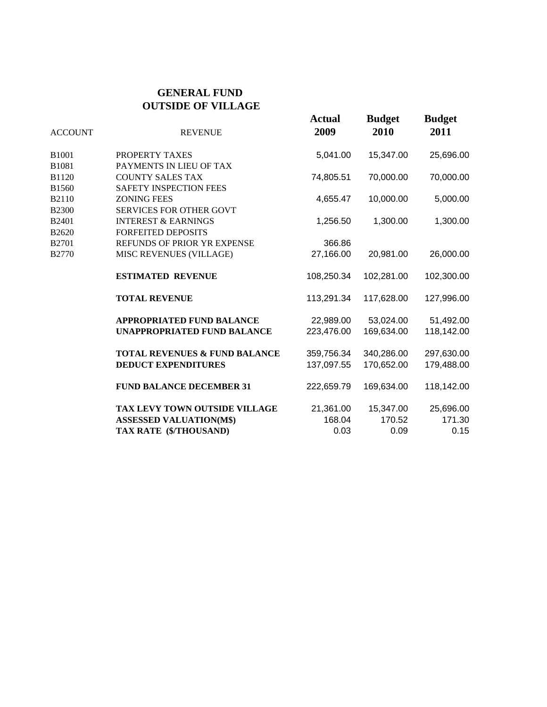#### **GENERAL FUND OUTSIDE OF VILLAGE**

| <b>ACCOUNT</b>    | <b>REVENUE</b>                           | <b>Actual</b><br>2009 | <b>Budget</b><br>2010 | <b>Budget</b><br>2011 |
|-------------------|------------------------------------------|-----------------------|-----------------------|-----------------------|
| B <sub>1001</sub> | PROPERTY TAXES                           | 5,041.00              | 15,347.00             | 25,696.00             |
| B1081             | PAYMENTS IN LIEU OF TAX                  |                       |                       |                       |
| B1120             | <b>COUNTY SALES TAX</b>                  | 74,805.51             | 70,000.00             | 70,000.00             |
| B1560             | SAFETY INSPECTION FEES                   |                       |                       |                       |
| B2110             | <b>ZONING FEES</b>                       | 4,655.47              | 10,000.00             | 5,000.00              |
| <b>B2300</b>      | <b>SERVICES FOR OTHER GOVT</b>           |                       |                       |                       |
| B2401             | <b>INTEREST &amp; EARNINGS</b>           | 1,256.50              | 1,300.00              | 1,300.00              |
| B2620             | <b>FORFEITED DEPOSITS</b>                |                       |                       |                       |
| B2701             | REFUNDS OF PRIOR YR EXPENSE              | 366.86                |                       |                       |
| <b>B2770</b>      | MISC REVENUES (VILLAGE)                  | 27,166.00             | 20,981.00             | 26,000.00             |
|                   | <b>ESTIMATED REVENUE</b>                 | 108,250.34            | 102,281.00            | 102,300.00            |
|                   | <b>TOTAL REVENUE</b>                     | 113,291.34            | 117,628.00            | 127,996.00            |
|                   | <b>APPROPRIATED FUND BALANCE</b>         | 22,989.00             | 53,024.00             | 51,492.00             |
|                   | <b>UNAPPROPRIATED FUND BALANCE</b>       | 223,476.00            | 169,634.00            | 118,142.00            |
|                   | <b>TOTAL REVENUES &amp; FUND BALANCE</b> | 359,756.34            | 340,286.00            | 297,630.00            |
|                   | <b>DEDUCT EXPENDITURES</b>               | 137,097.55            | 170,652.00            | 179,488.00            |
|                   | <b>FUND BALANCE DECEMBER 31</b>          | 222,659.79            | 169,634.00            | 118,142.00            |
|                   | TAX LEVY TOWN OUTSIDE VILLAGE            | 21,361.00             | 15,347.00             | 25,696.00             |
|                   | <b>ASSESSED VALUATION(M\$)</b>           | 168.04                | 170.52                | 171.30                |
|                   | TAX RATE (\$/THOUSAND)                   | 0.03                  | 0.09                  | 0.15                  |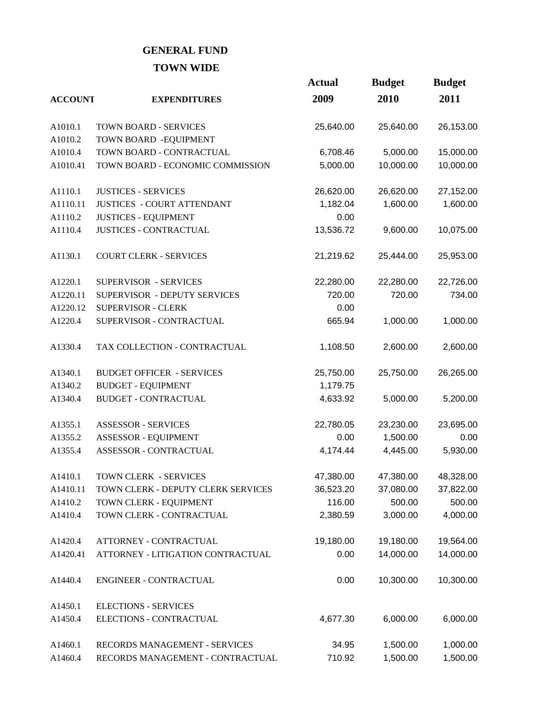# **GENERAL FUND TOWN WIDE**

|                |                                    | <b>Actual</b> | <b>Budget</b> | <b>Budget</b> |
|----------------|------------------------------------|---------------|---------------|---------------|
| <b>ACCOUNT</b> | <b>EXPENDITURES</b>                | 2009          | 2010          | 2011          |
| A1010.1        | <b>TOWN BOARD - SERVICES</b>       | 25,640.00     | 25,640.00     | 26,153.00     |
| A1010.2        | TOWN BOARD - EQUIPMENT             |               |               |               |
| A1010.4        | TOWN BOARD - CONTRACTUAL           | 6,708.46      | 5,000.00      | 15,000.00     |
| A1010.41       | TOWN BOARD - ECONOMIC COMMISSION   | 5,000.00      | 10,000.00     | 10,000.00     |
| A1110.1        | <b>JUSTICES - SERVICES</b>         | 26,620.00     | 26,620.00     | 27,152.00     |
| A1110.11       | <b>JUSTICES - COURT ATTENDANT</b>  | 1,182.04      | 1,600.00      | 1,600.00      |
| A1110.2        | <b>JUSTICES - EQUIPMENT</b>        | 0.00          |               |               |
| A1110.4        | <b>JUSTICES - CONTRACTUAL</b>      | 13,536.72     | 9,600.00      | 10,075.00     |
| A1130.1        | <b>COURT CLERK - SERVICES</b>      | 21,219.62     | 25,444.00     | 25,953.00     |
| A1220.1        | SUPERVISOR - SERVICES              | 22,280.00     | 22,280.00     | 22,726.00     |
| A1220.11       | SUPERVISOR - DEPUTY SERVICES       | 720.00        | 720.00        | 734.00        |
| A1220.12       | <b>SUPERVISOR - CLERK</b>          | 0.00          |               |               |
| A1220.4        | SUPERVISOR - CONTRACTUAL           | 665.94        | 1,000.00      | 1,000.00      |
| A1330.4        | TAX COLLECTION - CONTRACTUAL       | 1,108.50      | 2,600.00      | 2,600.00      |
| A1340.1        | <b>BUDGET OFFICER - SERVICES</b>   | 25,750.00     | 25,750.00     | 26,265.00     |
| A1340.2        | <b>BUDGET - EQUIPMENT</b>          | 1,179.75      |               |               |
| A1340.4        | <b>BUDGET - CONTRACTUAL</b>        | 4,633.92      | 5,000.00      | 5,200.00      |
| A1355.1        | <b>ASSESSOR - SERVICES</b>         | 22,780.05     | 23,230.00     | 23,695.00     |
| A1355.2        | ASSESSOR - EQUIPMENT               | 0.00          | 1,500.00      | 0.00          |
| A1355.4        | ASSESSOR - CONTRACTUAL             | 4,174.44      | 4,445.00      | 5,930.00      |
| A1410.1        | TOWN CLERK - SERVICES              | 47,380.00     | 47,380.00     | 48,328.00     |
| A1410.11       | TOWN CLERK - DEPUTY CLERK SERVICES | 36,523.20     | 37,080.00     | 37,822.00     |
| A1410.2        | TOWN CLERK - EQUIPMENT             | 116.00        | 500.00        | 500.00        |
| A1410.4        | TOWN CLERK - CONTRACTUAL           | 2,380.59      | 3,000.00      | 4,000.00      |
| A1420.4        | ATTORNEY - CONTRACTUAL             | 19,180.00     | 19,180.00     | 19,564.00     |
| A1420.41       | ATTORNEY - LITIGATION CONTRACTUAL  | 0.00          | 14,000.00     | 14,000.00     |
| A1440.4        | ENGINEER - CONTRACTUAL             | 0.00          | 10,300.00     | 10,300.00     |
| A1450.1        | <b>ELECTIONS - SERVICES</b>        |               |               |               |
| A1450.4        | ELECTIONS - CONTRACTUAL            | 4,677.30      | 6,000.00      | 6,000.00      |
| A1460.1        | RECORDS MANAGEMENT - SERVICES      | 34.95         | 1,500.00      | 1,000.00      |
| A1460.4        | RECORDS MANAGEMENT - CONTRACTUAL   | 710.92        | 1,500.00      | 1,500.00      |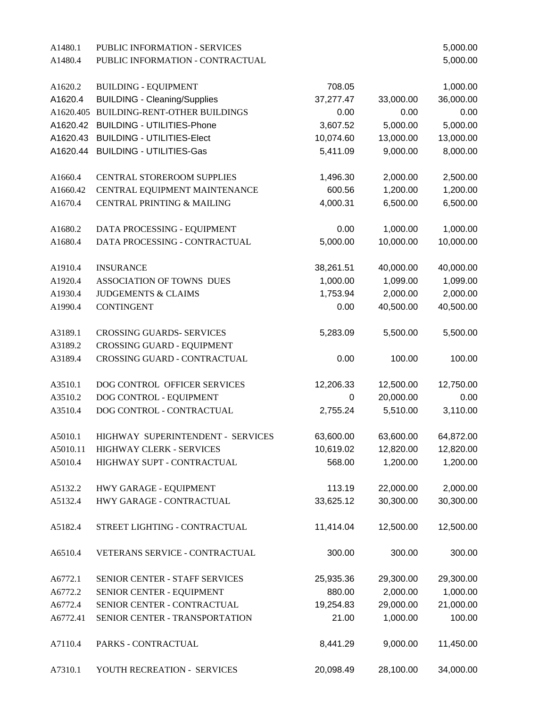| A1480.1   | PUBLIC INFORMATION - SERVICES         |           |           | 5,000.00  |
|-----------|---------------------------------------|-----------|-----------|-----------|
| A1480.4   | PUBLIC INFORMATION - CONTRACTUAL      |           |           | 5,000.00  |
|           |                                       |           |           |           |
| A1620.2   | <b>BUILDING - EQUIPMENT</b>           | 708.05    |           | 1,000.00  |
| A1620.4   | <b>BUILDING - Cleaning/Supplies</b>   | 37,277.47 | 33,000.00 | 36,000.00 |
| A1620.405 | <b>BUILDING-RENT-OTHER BUILDINGS</b>  | 0.00      | 0.00      | 0.00      |
| A1620.42  | <b>BUILDING - UTILITIES-Phone</b>     | 3,607.52  | 5,000.00  | 5,000.00  |
| A1620.43  | <b>BUILDING - UTILITIES-Elect</b>     | 10,074.60 | 13,000.00 | 13,000.00 |
| A1620.44  | <b>BUILDING - UTILITIES-Gas</b>       | 5,411.09  | 9,000.00  | 8,000.00  |
| A1660.4   | CENTRAL STOREROOM SUPPLIES            | 1,496.30  | 2,000.00  | 2,500.00  |
| A1660.42  | CENTRAL EQUIPMENT MAINTENANCE         | 600.56    | 1,200.00  | 1,200.00  |
| A1670.4   | <b>CENTRAL PRINTING &amp; MAILING</b> | 4,000.31  | 6,500.00  | 6,500.00  |
| A1680.2   | DATA PROCESSING - EQUIPMENT           | 0.00      | 1,000.00  | 1,000.00  |
| A1680.4   | DATA PROCESSING - CONTRACTUAL         | 5,000.00  | 10,000.00 | 10,000.00 |
| A1910.4   | <b>INSURANCE</b>                      | 38,261.51 | 40,000.00 | 40,000.00 |
| A1920.4   | ASSOCIATION OF TOWNS DUES             | 1,000.00  | 1,099.00  | 1,099.00  |
| A1930.4   | <b>JUDGEMENTS &amp; CLAIMS</b>        | 1,753.94  | 2,000.00  | 2,000.00  |
| A1990.4   | <b>CONTINGENT</b>                     | 0.00      | 40,500.00 | 40,500.00 |
|           |                                       |           |           |           |
| A3189.1   | <b>CROSSING GUARDS- SERVICES</b>      | 5,283.09  | 5,500.00  | 5,500.00  |
| A3189.2   | <b>CROSSING GUARD - EQUIPMENT</b>     |           |           |           |
| A3189.4   | CROSSING GUARD - CONTRACTUAL          | 0.00      | 100.00    | 100.00    |
| A3510.1   | DOG CONTROL OFFICER SERVICES          | 12,206.33 | 12,500.00 | 12,750.00 |
| A3510.2   | DOG CONTROL - EQUIPMENT               | 0         | 20,000.00 | 0.00      |
| A3510.4   | DOG CONTROL - CONTRACTUAL             | 2,755.24  | 5,510.00  | 3,110.00  |
| A5010.1   | HIGHWAY SUPERINTENDENT - SERVICES     | 63,600.00 | 63,600.00 | 64,872.00 |
| A5010.11  | HIGHWAY CLERK - SERVICES              | 10,619.02 | 12,820.00 | 12,820.00 |
| A5010.4   | HIGHWAY SUPT - CONTRACTUAL            | 568.00    | 1,200.00  | 1,200.00  |
| A5132.2   | HWY GARAGE - EQUIPMENT                | 113.19    | 22,000.00 | 2,000.00  |
|           |                                       |           | 30,300.00 |           |
| A5132.4   | HWY GARAGE - CONTRACTUAL              | 33,625.12 |           | 30,300.00 |
| A5182.4   | STREET LIGHTING - CONTRACTUAL         | 11,414.04 | 12,500.00 | 12,500.00 |
| A6510.4   | VETERANS SERVICE - CONTRACTUAL        | 300.00    | 300.00    | 300.00    |
| A6772.1   | SENIOR CENTER - STAFF SERVICES        | 25,935.36 | 29,300.00 | 29,300.00 |
| A6772.2   | SENIOR CENTER - EQUIPMENT             | 880.00    | 2,000.00  | 1,000.00  |
| A6772.4   | SENIOR CENTER - CONTRACTUAL           | 19,254.83 | 29,000.00 | 21,000.00 |
| A6772.41  | SENIOR CENTER - TRANSPORTATION        | 21.00     | 1,000.00  | 100.00    |
| A7110.4   | PARKS - CONTRACTUAL                   | 8,441.29  | 9,000.00  | 11,450.00 |
| A7310.1   | YOUTH RECREATION - SERVICES           | 20,098.49 | 28,100.00 | 34,000.00 |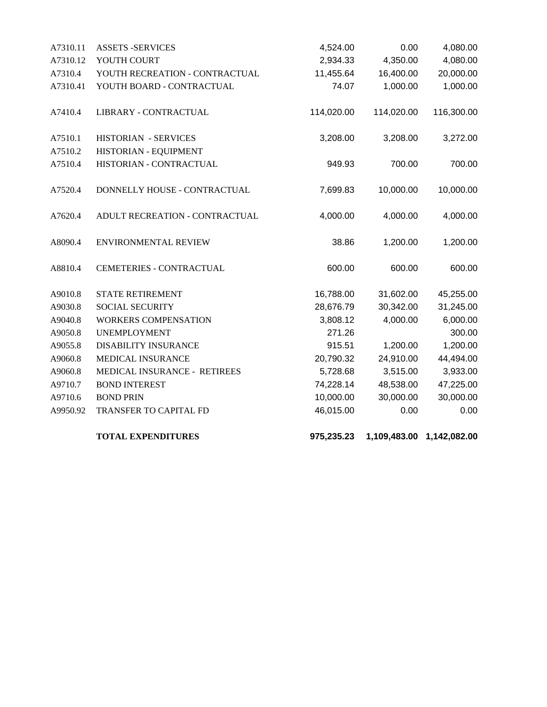|          | <b>TOTAL EXPENDITURES</b>       | 975,235.23 |            | 1,109,483.00 1,142,082.00 |
|----------|---------------------------------|------------|------------|---------------------------|
| A9950.92 | TRANSFER TO CAPITAL FD          | 46,015.00  | 0.00       | 0.00                      |
| A9710.6  | <b>BOND PRIN</b>                | 10,000.00  | 30,000.00  | 30,000.00                 |
| A9710.7  | <b>BOND INTEREST</b>            | 74,228.14  | 48,538.00  | 47,225.00                 |
| A9060.8  | MEDICAL INSURANCE - RETIREES    | 5,728.68   | 3,515.00   | 3,933.00                  |
| A9060.8  | MEDICAL INSURANCE               | 20,790.32  | 24,910.00  | 44,494.00                 |
| A9055.8  | <b>DISABILITY INSURANCE</b>     | 915.51     | 1,200.00   | 1,200.00                  |
| A9050.8  | <b>UNEMPLOYMENT</b>             | 271.26     |            | 300.00                    |
| A9040.8  | WORKERS COMPENSATION            | 3,808.12   | 4,000.00   | 6,000.00                  |
| A9030.8  | <b>SOCIAL SECURITY</b>          | 28,676.79  | 30,342.00  | 31,245.00                 |
| A9010.8  | STATE RETIREMENT                | 16,788.00  | 31,602.00  | 45,255.00                 |
| A8810.4  | <b>CEMETERIES - CONTRACTUAL</b> | 600.00     | 600.00     | 600.00                    |
| A8090.4  | ENVIRONMENTAL REVIEW            | 38.86      | 1,200.00   | 1,200.00                  |
| A7620.4  | ADULT RECREATION - CONTRACTUAL  | 4,000.00   | 4,000.00   | 4,000.00                  |
| A7520.4  | DONNELLY HOUSE - CONTRACTUAL    | 7,699.83   | 10,000.00  | 10,000.00                 |
| A7510.4  | HISTORIAN - CONTRACTUAL         | 949.93     | 700.00     | 700.00                    |
| A7510.2  | HISTORIAN - EQUIPMENT           |            |            |                           |
| A7510.1  | <b>HISTORIAN - SERVICES</b>     | 3,208.00   | 3,208.00   | 3,272.00                  |
| A7410.4  | LIBRARY - CONTRACTUAL           | 114,020.00 | 114,020.00 | 116,300.00                |
| A7310.41 | YOUTH BOARD - CONTRACTUAL       | 74.07      | 1,000.00   | 1,000.00                  |
| A7310.4  | YOUTH RECREATION - CONTRACTUAL  | 11,455.64  | 16,400.00  | 20,000.00                 |
| A7310.12 | YOUTH COURT                     | 2,934.33   | 4,350.00   | 4,080.00                  |
| A7310.11 | <b>ASSETS -SERVICES</b>         | 4,524.00   | 0.00       | 4,080.00                  |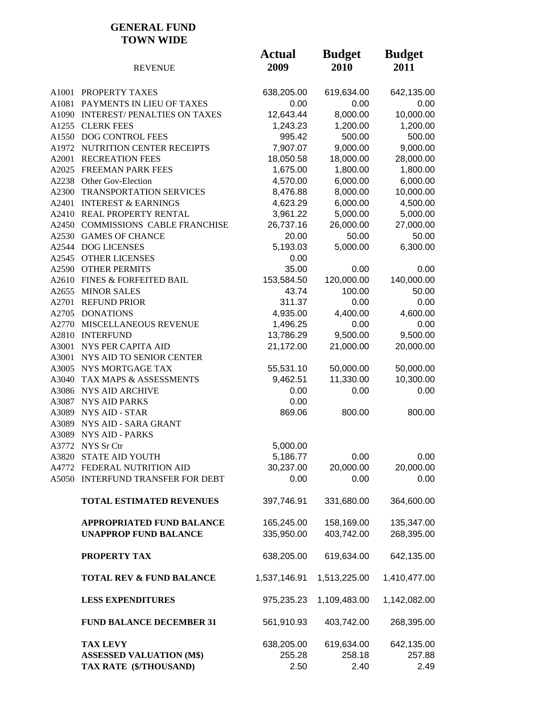#### **GENERAL FUND TOWN WIDE**

|       | <b>REVENUE</b>                      | <b>Actual</b><br>2009 | <b>Budget</b><br>2010 | <b>Budget</b><br>2011 |
|-------|-------------------------------------|-----------------------|-----------------------|-----------------------|
| A1001 | PROPERTY TAXES                      | 638,205.00            | 619,634.00            | 642,135.00            |
| A1081 | PAYMENTS IN LIEU OF TAXES           | 0.00                  | 0.00                  | 0.00                  |
| A1090 | <b>INTEREST/PENALTIES ON TAXES</b>  | 12,643.44             | 8,000.00              | 10,000.00             |
|       | A1255 CLERK FEES                    | 1,243.23              | 1,200.00              | 1,200.00              |
|       | A1550 DOG CONTROL FEES              | 995.42                | 500.00                | 500.00                |
|       | A1972 NUTRITION CENTER RECEIPTS     | 7,907.07              | 9,000.00              | 9,000.00              |
|       | A2001 RECREATION FEES               | 18,050.58             | 18,000.00             | 28,000.00             |
|       | A2025 FREEMAN PARK FEES             | 1,675.00              | 1,800.00              | 1,800.00              |
|       | A2238 Other Gov-Election            | 4,570.00              | 6,000.00              | 6,000.00              |
|       | A2300 TRANSPORTATION SERVICES       | 8,476.88              | 8,000.00              | 10,000.00             |
| A2401 | <b>INTEREST &amp; EARNINGS</b>      | 4,623.29              | 6,000.00              | 4,500.00              |
|       | A2410 REAL PROPERTY RENTAL          | 3,961.22              | 5,000.00              | 5,000.00              |
|       | A2450 COMMISSIONS CABLE FRANCHISE   | 26,737.16             | 26,000.00             | 27,000.00             |
|       | A2530 GAMES OF CHANCE               | 20.00                 | 50.00                 | 50.00                 |
|       | A2544 DOG LICENSES                  | 5,193.03              | 5,000.00              | 6,300.00              |
|       | A2545 OTHER LICENSES                | 0.00                  |                       |                       |
| A2590 | <b>OTHER PERMITS</b>                | 35.00                 | 0.00                  | 0.00                  |
| A2610 | <b>FINES &amp; FORFEITED BAIL</b>   | 153,584.50            | 120,000.00            | 140,000.00            |
| A2655 | <b>MINOR SALES</b>                  | 43.74                 | 100.00                | 50.00                 |
| A2701 | <b>REFUND PRIOR</b>                 | 311.37                | 0.00                  | 0.00                  |
| A2705 | <b>DONATIONS</b>                    | 4,935.00              | 4,400.00              | 4,600.00              |
| A2770 | MISCELLANEOUS REVENUE               | 1,496.25              | 0.00                  | 0.00                  |
| A2810 | <b>INTERFUND</b>                    | 13,786.29             | 9,500.00              | 9,500.00              |
| A3001 | NYS PER CAPITA AID                  | 21,172.00             | 21,000.00             | 20,000.00             |
| A3001 | NYS AID TO SENIOR CENTER            |                       |                       |                       |
|       | A3005 NYS MORTGAGE TAX              | 55,531.10             | 50,000.00             | 50,000.00             |
| A3040 | TAX MAPS & ASSESSMENTS              | 9,462.51              | 11,330.00             | 10,300.00             |
|       | A3086 NYS AID ARCHIVE               | 0.00                  | 0.00                  | 0.00                  |
|       | A3087 NYS AID PARKS                 | 0.00                  |                       |                       |
|       | A3089 NYS AID - STAR                | 869.06                | 800.00                | 800.00                |
|       | A3089 NYS AID - SARA GRANT          |                       |                       |                       |
| A3089 | <b>NYS AID - PARKS</b>              |                       |                       |                       |
| A3772 | NYS Sr Ctr<br>A3820 STATE AID YOUTH | 5,000.00<br>5,186.77  | 0.00                  | 0.00                  |
|       | A4772 FEDERAL NUTRITION AID         | 30,237.00             | 20,000.00             | 20,000.00             |
|       | A5050 INTERFUND TRANSFER FOR DEBT   | 0.00                  | 0.00                  | 0.00                  |
|       |                                     |                       |                       |                       |
|       | TOTAL ESTIMATED REVENUES            | 397,746.91            | 331,680.00            | 364,600.00            |
|       | <b>APPROPRIATED FUND BALANCE</b>    | 165,245.00            | 158,169.00            | 135,347.00            |
|       | <b>UNAPPROP FUND BALANCE</b>        | 335,950.00            | 403,742.00            | 268,395.00            |
|       | PROPERTY TAX                        | 638,205.00            | 619,634.00            | 642,135.00            |
|       | <b>TOTAL REV &amp; FUND BALANCE</b> | 1,537,146.91          | 1,513,225.00          | 1,410,477.00          |
|       | <b>LESS EXPENDITURES</b>            | 975,235.23            | 1,109,483.00          | 1,142,082.00          |
|       | <b>FUND BALANCE DECEMBER 31</b>     | 561,910.93            | 403,742.00            | 268,395.00            |
|       | <b>TAX LEVY</b>                     | 638,205.00            | 619,634.00            | 642,135.00            |
|       | <b>ASSESSED VALUATION (M\$)</b>     | 255.28                | 258.18                | 257.88                |
|       | TAX RATE (\$/THOUSAND)              | 2.50                  | 2.40                  | 2.49                  |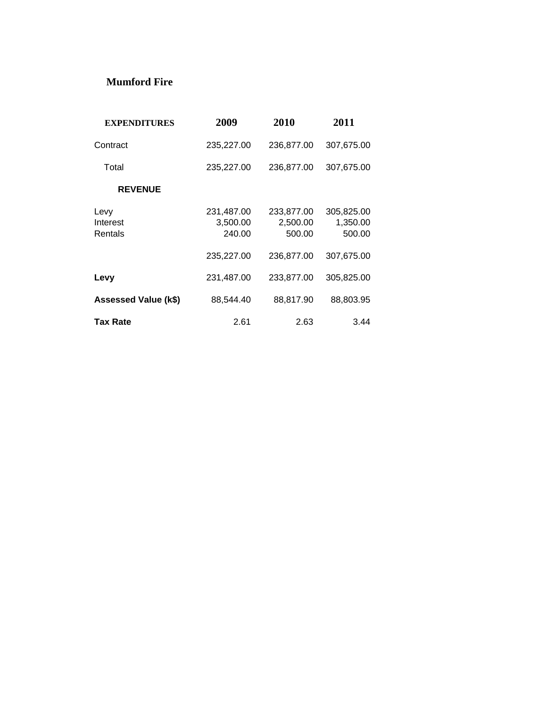#### **Mumford Fire**

| <b>EXPENDITURES</b>         | 2009                             | 2010                             | 2011                             |
|-----------------------------|----------------------------------|----------------------------------|----------------------------------|
| Contract                    | 235,227.00                       | 236,877.00                       | 307,675.00                       |
| Total                       | 235,227.00                       | 236,877.00                       | 307,675.00                       |
| <b>REVENUE</b>              |                                  |                                  |                                  |
| Levy<br>Interest<br>Rentals | 231,487.00<br>3,500.00<br>240.00 | 233,877.00<br>2,500.00<br>500.00 | 305,825.00<br>1,350.00<br>500.00 |
|                             | 235,227.00                       | 236.877.00                       | 307,675.00                       |
| Levy                        | 231,487.00                       | 233,877.00                       | 305,825.00                       |
| Assessed Value (k\$)        | 88,544.40                        | 88,817.90                        | 88,803.95                        |
| Tax Rate                    | 2.61                             | 2.63                             | 3.44                             |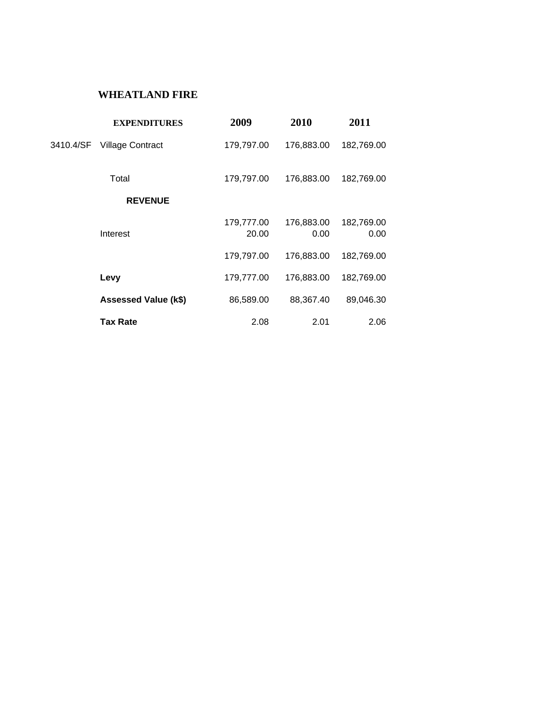#### **WHEATLAND FIRE**

|           | <b>EXPENDITURES</b>         | 2009                | 2010               | 2011               |
|-----------|-----------------------------|---------------------|--------------------|--------------------|
| 3410.4/SF | <b>Village Contract</b>     | 179,797.00          | 176,883.00         | 182,769.00         |
|           | Total                       | 179,797.00          | 176,883.00         | 182,769.00         |
|           | <b>REVENUE</b>              |                     |                    |                    |
|           | Interest                    | 179,777.00<br>20.00 | 176,883.00<br>0.00 | 182,769.00<br>0.00 |
|           |                             | 179,797.00          | 176,883.00         | 182,769.00         |
|           | Levy                        | 179,777.00          | 176,883.00         | 182,769.00         |
|           | <b>Assessed Value (k\$)</b> | 86,589.00           | 88,367.40          | 89,046.30          |
|           | <b>Tax Rate</b>             | 2.08                | 2.01               | 2.06               |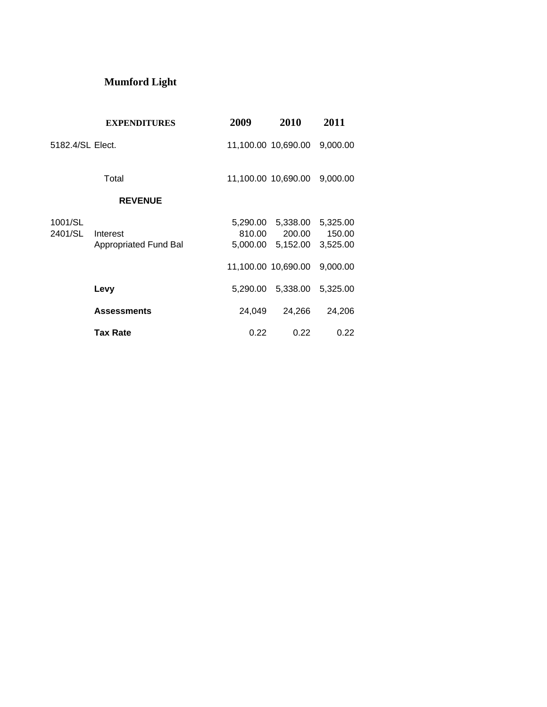# **Mumford Light**

|                    | <b>EXPENDITURES</b>                      | 2009     | 2010                                             | 2011                           |
|--------------------|------------------------------------------|----------|--------------------------------------------------|--------------------------------|
| 5182.4/SL Elect.   |                                          |          | 11,100.00 10,690.00                              | 9,000.00                       |
|                    | Total                                    |          | 11,100.00 10,690.00                              | 9,000.00                       |
|                    | <b>REVENUE</b>                           |          |                                                  |                                |
| 1001/SL<br>2401/SL | Interest<br><b>Appropriated Fund Bal</b> | 810.00   | 5,290.00 5,338.00<br>200.00<br>5,000.00 5,152.00 | 5,325.00<br>150.00<br>3,525.00 |
|                    |                                          |          | 11,100.00 10,690.00                              | 9,000.00                       |
|                    | Levy                                     | 5,290.00 | 5,338.00                                         | 5,325.00                       |
|                    | <b>Assessments</b>                       | 24,049   | 24,266                                           | 24,206                         |
|                    | <b>Tax Rate</b>                          | 0.22     | 0.22                                             | 0.22                           |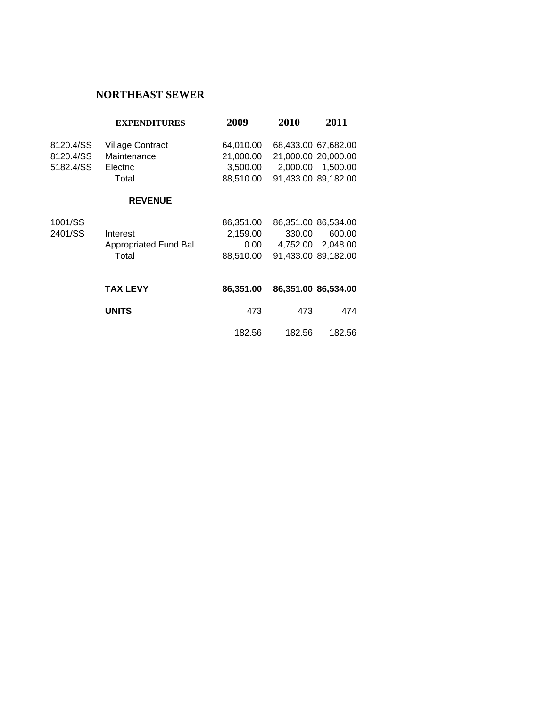## **NORTHEAST SEWER**

|           | <b>EXPENDITURES</b>     | 2009      | 2010   | 2011                |
|-----------|-------------------------|-----------|--------|---------------------|
| 8120.4/SS | <b>Village Contract</b> | 64,010.00 |        | 68,433.00 67,682.00 |
| 8120.4/SS | Maintenance             | 21,000.00 |        | 21,000.00 20,000.00 |
| 5182.4/SS | Electric                | 3,500.00  |        | 2,000.00 1,500.00   |
|           | Total                   | 88,510.00 |        | 91,433.00 89,182.00 |
|           | <b>REVENUE</b>          |           |        |                     |
| 1001/SS   |                         | 86,351.00 |        | 86,351.00 86,534.00 |
| 2401/SS   | Interest                | 2,159.00  | 330.00 | 600.00              |
|           | Appropriated Fund Bal   | $0.00\,$  |        | 4,752.00 2,048.00   |
|           | Total                   | 88,510.00 |        | 91,433.00 89,182.00 |
|           |                         |           |        |                     |
|           | <b>TAX LEVY</b>         | 86,351.00 |        | 86,351.00 86,534.00 |
|           | <b>UNITS</b>            | 473       | 473    | 474                 |
|           |                         | 182.56    | 182.56 | 182.56              |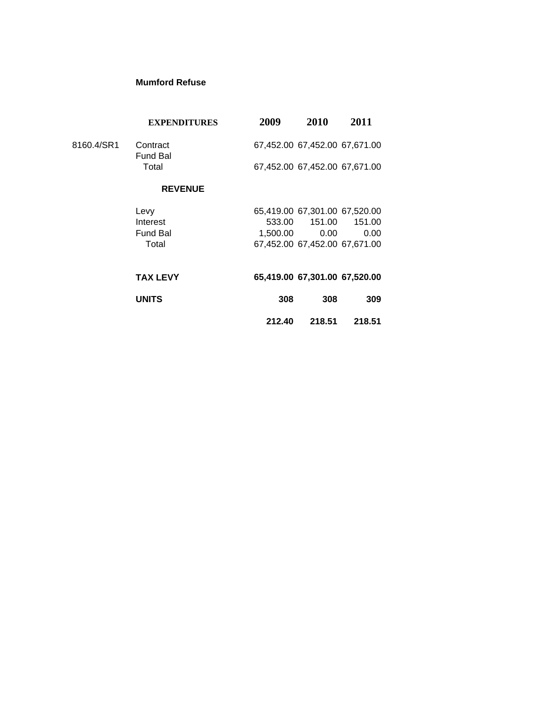#### **Mumford Refuse**

| <b>EXPENDITURES</b>         | 2009   | 2010              | 2011                                                                                                                                                                                    |
|-----------------------------|--------|-------------------|-----------------------------------------------------------------------------------------------------------------------------------------------------------------------------------------|
| Contract<br><b>Fund Bal</b> |        |                   |                                                                                                                                                                                         |
| Total                       |        |                   |                                                                                                                                                                                         |
| <b>REVENUE</b>              |        |                   |                                                                                                                                                                                         |
| Levy                        |        |                   |                                                                                                                                                                                         |
| Interest                    |        | 151.00            | 151.00                                                                                                                                                                                  |
| <b>Fund Bal</b>             |        | 0.00 <sub>1</sub> | 0.00                                                                                                                                                                                    |
| Total                       |        |                   |                                                                                                                                                                                         |
| <b>TAX LEVY</b>             |        |                   |                                                                                                                                                                                         |
| <b>UNITS</b>                | 308    | 308               | 309                                                                                                                                                                                     |
|                             | 212.40 | 218.51            | 218.51                                                                                                                                                                                  |
|                             |        |                   | 67,452.00 67,452.00 67,671.00<br>67,452.00 67,452.00 67,671.00<br>65,419.00 67,301.00 67,520.00<br>533.00<br>1.500.00<br>67,452.00 67,452.00 67,671.00<br>65,419.00 67,301.00 67,520.00 |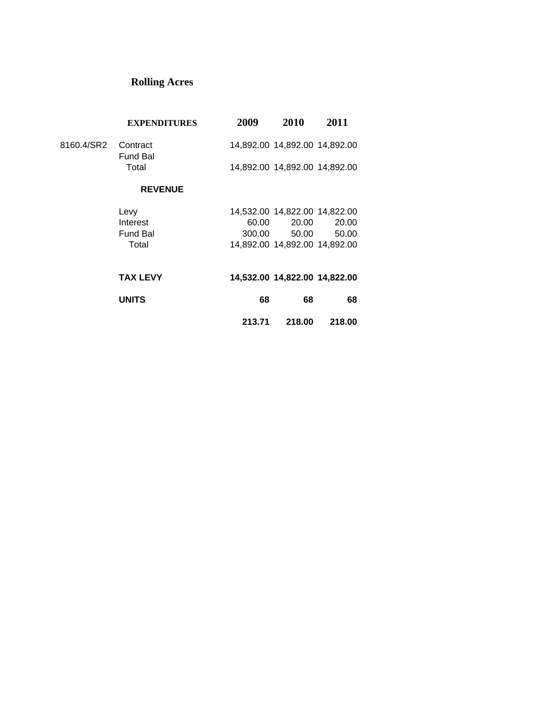# **Rolling Acres**

|                     | <b>EXPENDITURES</b> | 2009 | <b>2010</b>                   | 2011 |
|---------------------|---------------------|------|-------------------------------|------|
| 8160.4/SR2 Contract | Fund Bal            |      | 14,892.00 14,892.00 14,892.00 |      |
|                     | Total               |      | 14,892.00 14,892.00 14,892.00 |      |
|                     | <b>REVENUE</b>      |      |                               |      |
|                     | Levv                |      | 14,532.00 14,822.00 14,822.00 |      |

| Levy     |        | 14.032.00 14.022.00 14.022.00 |       |
|----------|--------|-------------------------------|-------|
| Interest | 60.00  | 20.00                         | 20.00 |
| Fund Bal | 300.00 | 50.00                         | 50.00 |
| Total    |        | 14.892.00 14.892.00 14.892.00 |       |
|          |        |                               |       |

| <b>TAX LEVY</b> |        | 14,532.00 14,822.00 14,822.00 |        |
|-----------------|--------|-------------------------------|--------|
| <b>UNITS</b>    | 68     | 68                            | 68     |
|                 | 213.71 | 218.00                        | 218.00 |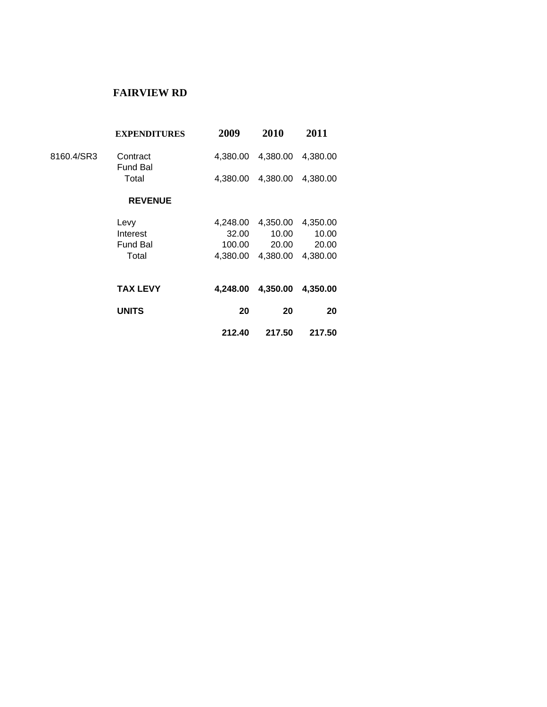#### **FAIRVIEW RD**

| <b>EXPENDITURES</b>         | 2009     | 2010     | 2011     |  |
|-----------------------------|----------|----------|----------|--|
| Contract<br><b>Fund Bal</b> | 4.380.00 | 4,380.00 | 4,380.00 |  |
| Total                       | 4,380.00 | 4,380.00 | 4,380.00 |  |
| <b>REVENUE</b>              |          |          |          |  |
| Levy                        | 4,248.00 | 4,350.00 | 4,350.00 |  |
| Interest                    | 32.00    | 10.00    | 10.00    |  |
| <b>Fund Bal</b>             | 100.00   | 20.00    | 20.00    |  |
| Total                       | 4.380.00 | 4,380.00 | 4,380.00 |  |
| <b>TAX LEVY</b>             | 4.248.00 | 4,350.00 | 4,350.00 |  |
| <b>UNITS</b>                | 20       | 20       | 20       |  |
|                             | 212.40   | 217.50   | 217.50   |  |
|                             |          |          |          |  |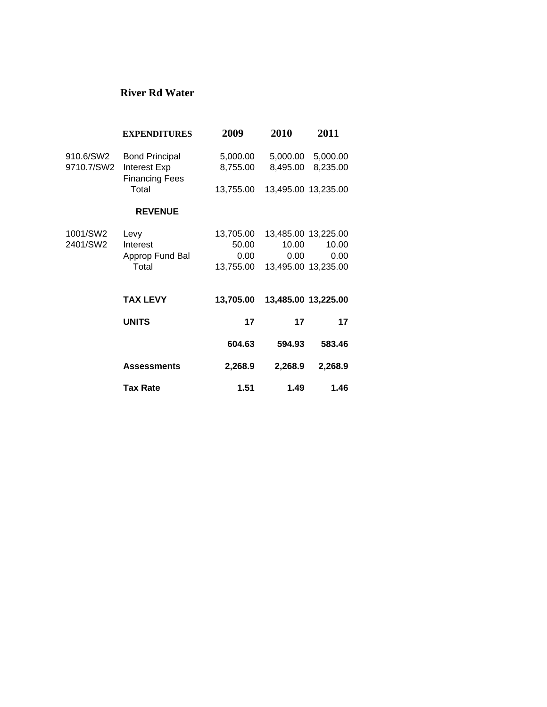#### **River Rd Water**

|            | <b>EXPENDITURES</b>                   | 2009      | 2010     | 2011                |
|------------|---------------------------------------|-----------|----------|---------------------|
| 910.6/SW2  | <b>Bond Principal</b>                 | 5,000.00  | 5,000.00 | 5,000.00            |
| 9710.7/SW2 | Interest Exp<br><b>Financing Fees</b> | 8,755.00  | 8,495.00 | 8,235.00            |
|            | Total                                 | 13,755.00 |          | 13,495.00 13,235.00 |
|            | <b>REVENUE</b>                        |           |          |                     |
| 1001/SW2   | Levy                                  | 13,705.00 |          | 13,485.00 13,225.00 |
| 2401/SW2   | Interest                              | 50.00     | 10.00    | 10.00               |
|            | Approp Fund Bal                       | $0.00\,$  | 0.00     | 0.00                |
|            | Total                                 | 13,755.00 |          | 13,495.00 13,235.00 |
|            | <b>TAX LEVY</b>                       | 13,705.00 |          | 13,485.00 13,225.00 |
|            | <b>UNITS</b>                          | 17        | 17       | 17                  |
|            |                                       | 604.63    | 594.93   | 583.46              |
|            | <b>Assessments</b>                    | 2,268.9   | 2,268.9  | 2,268.9             |
|            | <b>Tax Rate</b>                       | 1.51      | 1.49     | 1.46                |